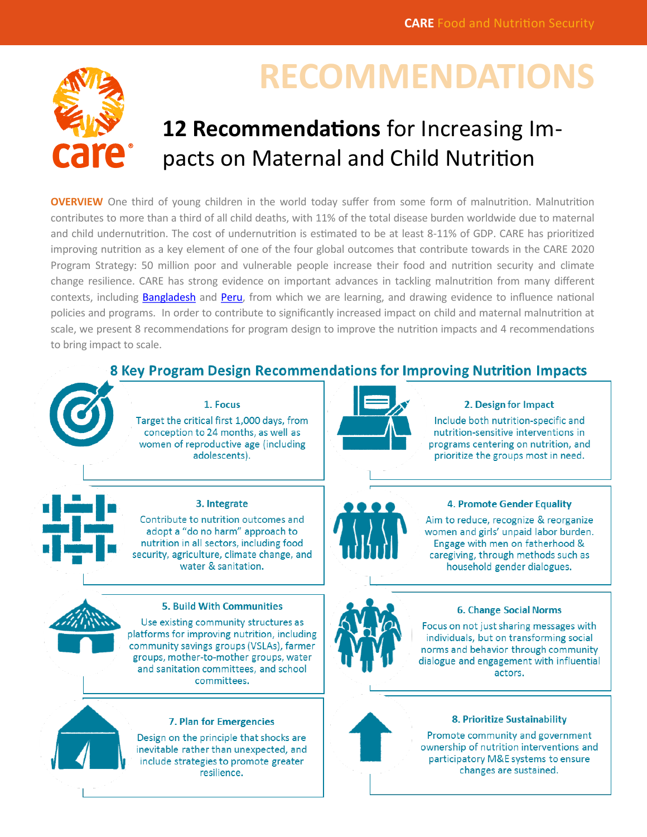

# **RECOMMENDATIONS**

# **12 Recommendations** for Increasing Impacts on Maternal and Child Nutrition

**OVERVIEW** One third of young children in the world today suffer from some form of malnutrition. Malnutrition contributes to more than a third of all child deaths, with 11% of the total disease burden worldwide due to maternal and child undernutrition. The cost of undernutrition is estimated to be at least 8-11% of GDP. CARE has prioritized improving nutrition as a key element of one of the four global outcomes that contribute towards in the CARE 2020 Program Strategy: 50 million poor and vulnerable people increase their food and nutrition security and climate change resilience. CARE has strong evidence on important advances in tackling malnutrition from many different contexts, including [Bangladesh](http://www.care.org/sites/default/files/documents/CARE_IWD_2012.pdf) and [Peru,](https://www.ids.ac.uk/files/dmfile/Wp367.pdf) from which we are learning, and drawing evidence to influence national policies and programs. In order to contribute to significantly increased impact on child and maternal malnutrition at scale, we present 8 recommendations for program design to improve the nutrition impacts and 4 recommendations to bring impact to scale.

# 8 Key Program Design Recommendations for Improving Nutrition Impacts



### 2. Design for Impact

Include both nutrition-specific and nutrition-sensitive interventions in programs centering on nutrition, and prioritize the groups most in need.

## **4. Promote Gender Equality**

Aim to reduce, recognize & reorganize women and girls' unpaid labor burden. Engage with men on fatherhood & caregiving, through methods such as household gender dialogues.





#### 7. Plan for Emergencies

Design on the principle that shocks are inevitable rather than unexpected, and include strategies to promote greater resilience.

#### **6. Change Social Norms**

Focus on not just sharing messages with individuals, but on transforming social norms and behavior through community dialogue and engagement with influential actors.



#### 8. Prioritize Sustainability

Promote community and government ownership of nutrition interventions and participatory M&E systems to ensure changes are sustained.